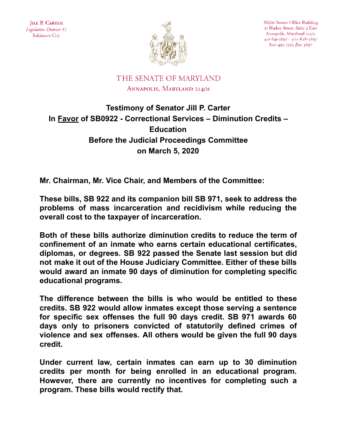

Miller Senate Office Building II Bladen Street, Suite 3 East Annapolis, Maryland 21401 410-841-3697 · 301-858-3697 800-492-7122 Ext. 3697

## THE SENATE OF MARYLAND ANNAPOLIS, MARYLAND 21401

## **Testimony of Senator Jill P. Carter In Favor of SB0922 - Correctional Services – Diminution Credits – Education Before the Judicial Proceedings Committee on March 5, 2020**

**Mr. Chairman, Mr. Vice Chair, and Members of the Committee:**

**These bills, SB 922 and its companion bill SB 971, seek to address the problems of mass incarceration and recidivism while reducing the overall cost to the taxpayer of incarceration.**

**Both of these bills authorize diminution credits to reduce the term of confinement of an inmate who earns certain educational certificates, diplomas, or degrees. SB 922 passed the Senate last session but did not make it out of the House Judiciary Committee. Either of these bills would award an inmate 90 days of diminution for completing specific educational programs.**

**The difference between the bills is who would be entitled to these credits. SB 922 would allow inmates except those serving a sentence for specific sex offenses the full 90 days credit. SB 971 awards 60 days only to prisoners convicted of statutorily defined crimes of violence and sex offenses. All others would be given the full 90 days credit.**

**Under current law, certain inmates can earn up to 30 diminution credits per month for being enrolled in an educational program. However, there are currently no incentives for completing such a program. These bills would rectify that.**